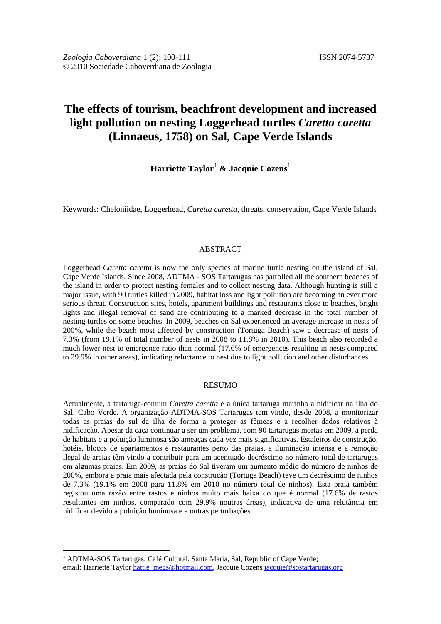# **The effects of tourism, beachfront development and increased light pollution on nesting Loggerhead turtles** *Caretta caretta* **(Linnaeus, 1758) on Sal, Cape Verde Islands**

# **Harriette Taylor**[1](#page-0-0) **& Jacquie Cozens**<sup>1</sup>

Keywords: Cheloniidae, Loggerhead, *Caretta caretta*, threats, conservation, Cape Verde Islands

# ABSTRACT

Loggerhead *Caretta caretta* is now the only species of marine turtle nesting on the island of Sal, Cape Verde Islands. Since 2008, ADTMA - SOS Tartarugas has patrolled all the southern beaches of the island in order to protect nesting females and to collect nesting data. Although hunting is still a major issue, with 90 turtles killed in 2009, habitat loss and light pollution are becoming an ever more serious threat. Construction sites, hotels, apartment buildings and restaurants close to beaches, bright lights and illegal removal of sand are contributing to a marked decrease in the total number of nesting turtles on some beaches. In 2009, beaches on Sal experienced an average increase in nests of 200%, while the beach most affected by construction (Tortuga Beach) saw a decrease of nests of 7.3% (from 19.1% of total number of nests in 2008 to 11.8% in 2010). This beach also recorded a much lower nest to emergence ratio than normal (17.6% of emergences resulting in nests compared to 29.9% in other areas), indicating reluctance to nest due to light pollution and other disturbances.

# RESUMO

Actualmente, a tartaruga-comum *Caretta caretta* é a única tartaruga marinha a nidificar na ilha do Sal, Cabo Verde. A organização ADTMA-SOS Tartarugas tem vindo, desde 2008, a monitorizar todas as praias do sul da ilha de forma a proteger as fêmeas e a recolher dados relativos à nidificação. Apesar da caça continuar a ser um problema, com 90 tartarugas mortas em 2009, a perda de habitats e a poluição luminosa são ameaças cada vez mais significativas. Estaleiros de construção, hotéis, blocos de apartamentos e restaurantes perto das praias, a iluminação intensa e a remoção ilegal de areias têm vindo a contribuir para um acentuado decréscimo no número total de tartarugas em algumas praias. Em 2009, as praias do Sal tiveram um aumento médio do número de ninhos de 200%, embora a praia mais afectada pela construção (Tortuga Beach) teve um decréscimo de ninhos de 7.3% (19.1% em 2008 para 11.8% em 2010 no número total de ninhos). Esta praia também registou uma razão entre rastos e ninhos muito mais baixa do que é normal (17.6% de rastos resultantes em ninhos, comparado com 29.9% noutras áreas), indicativa de uma relutância em nidificar devido à poluição luminosa e a outras perturbações.

<u>.</u>

<span id="page-0-0"></span><sup>&</sup>lt;sup>1</sup> ADTMA-SOS Tartarugas, Café Cultural, Santa Maria, Sal, Republic of Cape Verde; email: Harriette Taylo[r hattie\\_megs@hotmail.com,](mailto:hattie_megs@hotmail.com) Jacquie Cozens [jacquie@sostartarugas.org](mailto:jacquie@sostartarugas.org)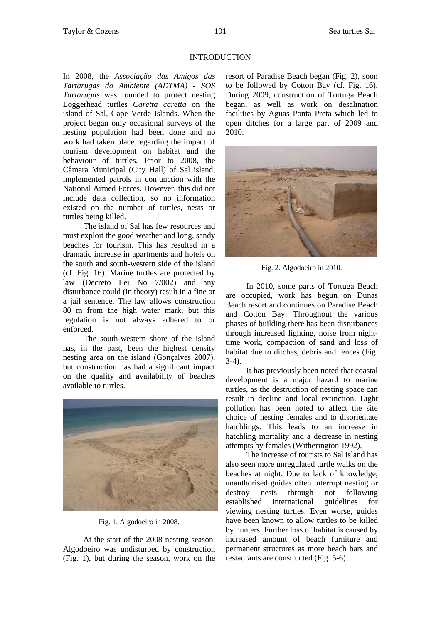## INTRODUCTION

In 2008, the *Associação das Amigos das Tartarugas do Ambiente (ADTMA) - SOS Tartarugas* was founded to protect nesting Loggerhead turtles *Caretta caretta* on the island of Sal, Cape Verde Islands. When the project began only occasional surveys of the nesting population had been done and no work had taken place regarding the impact of tourism development on habitat and the behaviour of turtles. Prior to 2008, the Câmara Municipal (City Hall) of Sal island, implemented patrols in conjunction with the National Armed Forces. However, this did not include data collection, so no information existed on the number of turtles, nests or turtles being killed.

The island of Sal has few resources and must exploit the good weather and long, sandy beaches for tourism. This has resulted in a dramatic increase in apartments and hotels on the south and south-western side of the island (cf. Fig. 16). Marine turtles are protected by law (Decreto Lei No 7/002) and any disturbance could (in theory) result in a fine or a jail sentence. The law allows construction 80 m from the high water mark, but this regulation is not always adhered to or enforced.

The south-western shore of the island has, in the past, been the highest density nesting area on the island (Gonçalves 2007), but construction has had a significant impact on the quality and availability of beaches available to turtles.



Fig. 1. Algodoeiro in 2008.

At the start of the 2008 nesting season, Algodoeiro was undisturbed by construction (Fig. 1), but during the season, work on the resort of Paradise Beach began (Fig. 2), soon to be followed by Cotton Bay (cf. Fig. 16). During 2009, construction of Tortuga Beach began, as well as work on desalination facilities by Aguas Ponta Preta which led to open ditches for a large part of 2009 and 2010.



Fig. 2. Algodoeiro in 2010.

In 2010, some parts of Tortuga Beach are occupied, work has begun on Dunas Beach resort and continues on Paradise Beach and Cotton Bay. Throughout the various phases of building there has been disturbances through increased lighting, noise from nighttime work, compaction of sand and loss of habitat due to ditches, debris and fences (Fig. 3-4).

It has previously been noted that coastal development is a major hazard to marine turtles, as the destruction of nesting space can result in decline and local extinction. Light pollution has been noted to affect the site choice of nesting females and to disorientate hatchlings. This leads to an increase in hatchling mortality and a decrease in nesting attempts by females (Witherington 1992).

The increase of tourists to Sal island has also seen more unregulated turtle walks on the beaches at night. Due to lack of knowledge, unauthorised guides often interrupt nesting or destroy nests through not following established international guidelines for viewing nesting turtles. Even worse, guides have been known to allow turtles to be killed by hunters. Further loss of habitat is caused by increased amount of beach furniture and permanent structures as more beach bars and restaurants are constructed (Fig. 5-6).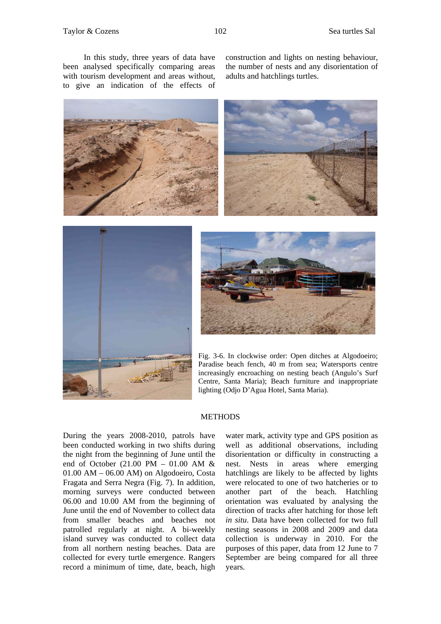construction and lights on nesting behaviour, the number of nests and any disorientation of adults and hatchlings turtles.







Fig. 3-6. In clockwise order: Open ditches at Algodoeiro; Paradise beach fench, 40 m from sea; Watersports centre increasingly encroaching on nesting beach (Angulo's Surf Centre, Santa Maria); Beach furniture and inappropriate lighting (Odjo D'Agua Hotel, Santa Maria).

### **METHODS**

During the years 2008-2010, patrols have been conducted working in two shifts during the night from the beginning of June until the end of October (21.00 PM – 01.00 AM & 01.00 AM – 06.00 AM) on Algodoeiro, Costa Fragata and Serra Negra (Fig. 7). In addition, morning surveys were conducted between 06.00 and 10.00 AM from the beginning of June until the end of November to collect data from smaller beaches and beaches not patrolled regularly at night. A bi-weekly island survey was conducted to collect data from all northern nesting beaches. Data are collected for every turtle emergence. Rangers record a minimum of time, date, beach, high

water mark, activity type and GPS position as well as additional observations, including disorientation or difficulty in constructing a nest. Nests in areas where emerging hatchlings are likely to be affected by lights were relocated to one of two hatcheries or to another part of the beach. Hatchling orientation was evaluated by analysing the direction of tracks after hatching for those left *in situ*. Data have been collected for two full nesting seasons in 2008 and 2009 and data collection is underway in 2010. For the purposes of this paper, data from 12 June to 7 September are being compared for all three years.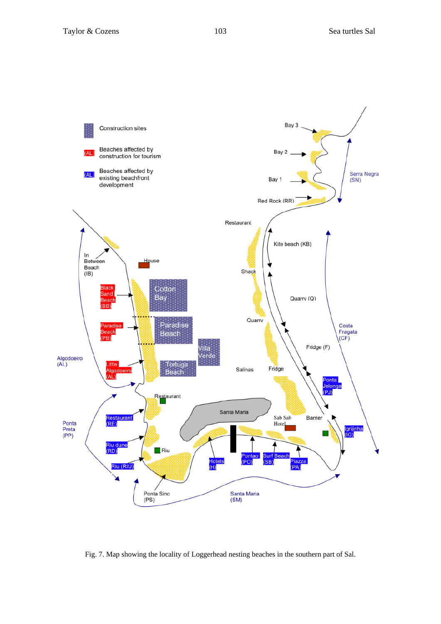

Fig. 7. Map showing the locality of Loggerhead nesting beaches in the southern part of Sal.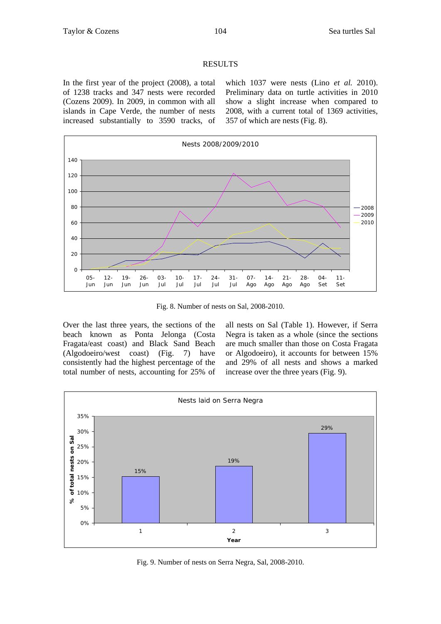# RESULTS

In the first year of the project (2008), a total of 1238 tracks and 347 nests were recorded (Cozens 2009). In 2009, in common with all islands in Cape Verde, the number of nests increased substantially to 3590 tracks, of which 1037 were nests (Lino *et al.* 2010). Preliminary data on turtle activities in 2010 show a slight increase when compared to 2008, with a current total of 1369 activities, 357 of which are nests (Fig. 8).



Fig. 8. Number of nests on Sal, 2008-2010.

Over the last three years, the sections of the beach known as Ponta Jelonga (Costa Fragata/east coast) and Black Sand Beach (Algodoeiro/west coast) (Fig. 7) have consistently had the highest percentage of the total number of nests, accounting for 25% of all nests on Sal (Table 1). However, if Serra Negra is taken as a whole (since the sections are much smaller than those on Costa Fragata or Algodoeiro), it accounts for between 15% and 29% of all nests and shows a marked increase over the three years (Fig. 9).



Fig. 9. Number of nests on Serra Negra, Sal, 2008-2010.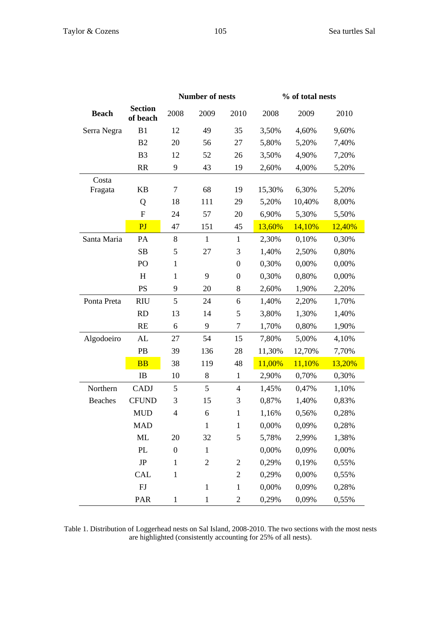|                |                            |                  | <b>Number of nests</b> |                  | % of total nests |        |        |
|----------------|----------------------------|------------------|------------------------|------------------|------------------|--------|--------|
| <b>Beach</b>   | <b>Section</b><br>of beach | 2008             | 2009                   | 2010             | 2008             | 2009   | 2010   |
| Serra Negra    | B1                         | 12               | 49                     | 35               | 3,50%            | 4,60%  | 9,60%  |
|                | B2                         | 20               | 56                     | 27               | 5,80%            | 5,20%  | 7,40%  |
|                | B <sub>3</sub>             | 12               | 52                     | 26               | 3,50%            | 4,90%  | 7,20%  |
|                | <b>RR</b>                  | 9                | 43                     | 19               | 2,60%            | 4,00%  | 5,20%  |
| Costa          |                            |                  |                        |                  |                  |        |        |
| Fragata        | KB                         | $\tau$           | 68                     | 19               | 15,30%           | 6,30%  | 5,20%  |
|                | Q                          | 18               | 111                    | 29               | 5,20%            | 10,40% | 8,00%  |
|                | $\mathbf F$                | 24               | 57                     | 20               | 6,90%            | 5,30%  | 5,50%  |
|                | PJ                         | 47               | 151                    | 45               | 13,60%           | 14,10% | 12,40% |
| Santa Maria    | PA                         | 8                | $\mathbf{1}$           | $\mathbf{1}$     | 2,30%            | 0,10%  | 0,30%  |
|                | SB                         | $\mathfrak{S}$   | 27                     | 3                | 1,40%            | 2,50%  | 0,80%  |
|                | PO                         | $\mathbf{1}$     |                        | $\boldsymbol{0}$ | 0,30%            | 0,00%  | 0,00%  |
|                | H                          | 1                | 9                      | $\boldsymbol{0}$ | 0,30%            | 0,80%  | 0,00%  |
|                | PS                         | 9                | 20                     | $8\,$            | 2,60%            | 1,90%  | 2,20%  |
| Ponta Preta    | <b>RIU</b>                 | 5                | 24                     | 6                | 1,40%            | 2,20%  | 1,70%  |
|                | <b>RD</b>                  | 13               | 14                     | 5                | 3,80%            | 1,30%  | 1,40%  |
|                | RE                         | 6                | 9                      | $\boldsymbol{7}$ | 1,70%            | 0,80%  | 1,90%  |
| Algodoeiro     | AL                         | 27               | 54                     | 15               | 7,80%            | 5,00%  | 4,10%  |
|                | PB                         | 39               | 136                    | 28               | 11,30%           | 12,70% | 7,70%  |
|                | <b>BB</b>                  | 38               | 119                    | 48               | 11,00%           | 11,10% | 13,20% |
|                | IB                         | 10               | $8\,$                  | $\mathbf{1}$     | 2,90%            | 0,70%  | 0,30%  |
| Northern       | CADJ                       | 5                | 5                      | $\overline{4}$   | 1,45%            | 0,47%  | 1,10%  |
| <b>Beaches</b> | <b>CFUND</b>               | 3                | 15                     | 3                | 0,87%            | 1,40%  | 0,83%  |
|                | <b>MUD</b>                 | $\overline{4}$   | 6                      | $\mathbf{1}$     | 1,16%            | 0,56%  | 0,28%  |
|                | <b>MAD</b>                 |                  | $\mathbf 1$            | $\mathbf{1}$     | 0,00%            | 0,09%  | 0,28%  |
|                | ML                         | 20               | 32                     | 5                | 5,78%            | 2,99%  | 1,38%  |
|                | PL                         | $\boldsymbol{0}$ | $\mathbf{1}$           |                  | 0,00%            | 0,09%  | 0,00%  |
|                | $\rm{JP}$                  | $\mathbf{1}$     | $\mathbf{2}$           | $\mathbf{2}$     | 0,29%            | 0,19%  | 0,55%  |
|                | <b>CAL</b>                 | $\mathbf{1}$     |                        | $\overline{2}$   | 0,29%            | 0,00%  | 0,55%  |
|                | ${\rm FJ}$                 |                  | $\mathbf{1}$           | $\mathbf 1$      | 0,00%            | 0,09%  | 0,28%  |
|                | PAR                        | $\mathbf{1}$     | $\mathbf{1}$           | $\mathbf{2}$     | 0,29%            | 0,09%  | 0,55%  |

Table 1. Distribution of Loggerhead nests on Sal Island, 2008-2010. The two sections with the most nests are highlighted (consistently accounting for 25% of all nests).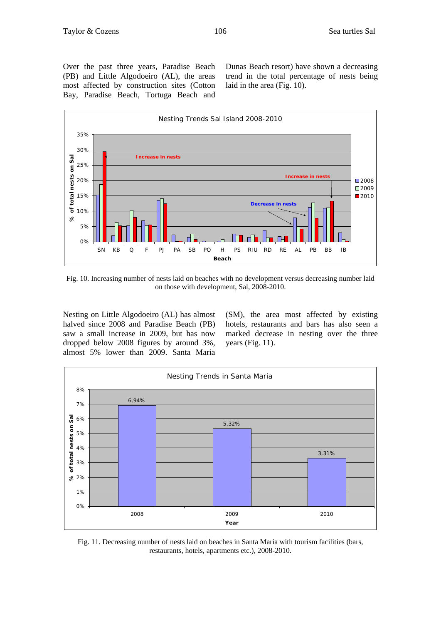Over the past three years, Paradise Beach (PB) and Little Algodoeiro (AL), the areas most affected by construction sites (Cotton Bay, Paradise Beach, Tortuga Beach and Dunas Beach resort) have shown a decreasing trend in the total percentage of nests being laid in the area (Fig. 10).



Fig. 10. Increasing number of nests laid on beaches with no development versus decreasing number laid on those with development, Sal, 2008-2010.

Nesting on Little Algodoeiro (AL) has almost halved since 2008 and Paradise Beach (PB) saw a small increase in 2009, but has now dropped below 2008 figures by around 3%, almost 5% lower than 2009. Santa Maria

(SM), the area most affected by existing hotels, restaurants and bars has also seen a marked decrease in nesting over the three years (Fig. 11).



Fig. 11. Decreasing number of nests laid on beaches in Santa Maria with tourism facilities (bars, restaurants, hotels, apartments etc.), 2008-2010.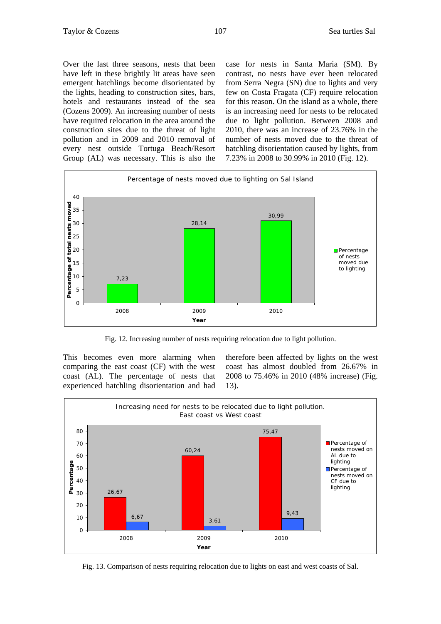Over the last three seasons, nests that been have left in these brightly lit areas have seen emergent hatchlings become disorientated by the lights, heading to construction sites, bars, hotels and restaurants instead of the sea (Cozens 2009). An increasing number of nests have required relocation in the area around the construction sites due to the threat of light pollution and in 2009 and 2010 removal of every nest outside Tortuga Beach/Resort Group (AL) was necessary. This is also the

case for nests in Santa Maria (SM). By contrast, no nests have ever been relocated from Serra Negra (SN) due to lights and very few on Costa Fragata (CF) require relocation for this reason. On the island as a whole, there is an increasing need for nests to be relocated due to light pollution. Between 2008 and 2010, there was an increase of 23.76% in the number of nests moved due to the threat of hatchling disorientation caused by lights, from 7.23% in 2008 to 30.99% in 2010 (Fig. 12).



Fig. 12. Increasing number of nests requiring relocation due to light pollution.

This becomes even more alarming when comparing the east coast (CF) with the west coast (AL). The percentage of nests that experienced hatchling disorientation and had

therefore been affected by lights on the west coast has almost doubled from 26.67% in 2008 to 75.46% in 2010 (48% increase) (Fig. 13).



Fig. 13. Comparison of nests requiring relocation due to lights on east and west coasts of Sal.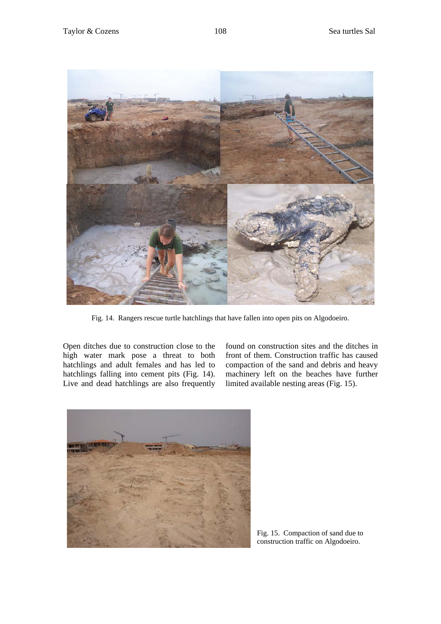

Fig. 14. Rangers rescue turtle hatchlings that have fallen into open pits on Algodoeiro.

Open ditches due to construction close to the high water mark pose a threat to both hatchlings and adult females and has led to hatchlings falling into cement pits (Fig. 14). Live and dead hatchlings are also frequently found on construction sites and the ditches in front of them. Construction traffic has caused compaction of the sand and debris and heavy machinery left on the beaches have further limited available nesting areas (Fig. 15).



Fig. 15. Compaction of sand due to construction traffic on Algodoeiro.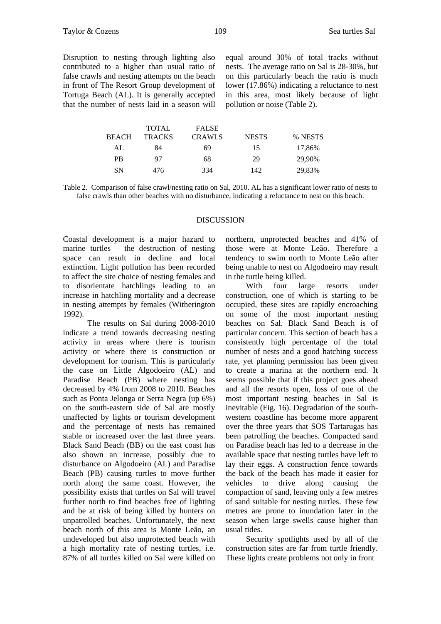Disruption to nesting through lighting also contributed to a higher than usual ratio of false crawls and nesting attempts on the beach in front of The Resort Group development of Tortuga Beach (AL). It is generally accepted that the number of nests laid in a season will equal around 30% of total tracks without nests. The average ratio on Sal is 28-30%, but on this particularly beach the ratio is much lower (17.86%) indicating a reluctance to nest in this area, most likely because of light pollution or noise (Table 2).

| <b>TOTAL</b>  | <b>FALSE</b>  |              |         |
|---------------|---------------|--------------|---------|
| <b>TRACKS</b> | <b>CRAWLS</b> | <b>NESTS</b> | % NESTS |
| 84            | 69            | 15           | 17,86%  |
| 97            | 68            | 29           | 29.90%  |
| 476           | 334           | 142          | 29,83%  |
|               |               |              |         |

Table 2. Comparison of false crawl/nesting ratio on Sal, 2010. AL has a significant lower ratio of nests to false crawls than other beaches with no disturbance, indicating a reluctance to nest on this beach.

#### DISCUSSION

Coastal development is a major hazard to marine turtles – the destruction of nesting space can result in decline and local extinction. Light pollution has been recorded to affect the site choice of nesting females and to disorientate hatchlings leading to an increase in hatchling mortality and a decrease in nesting attempts by females (Witherington 1992).

The results on Sal during 2008-2010 indicate a trend towards decreasing nesting activity in areas where there is tourism activity or where there is construction or development for tourism. This is particularly the case on Little Algodoeiro (AL) and Paradise Beach (PB) where nesting has decreased by 4% from 2008 to 2010. Beaches such as Ponta Jelonga or Serra Negra (up 6%) on the south-eastern side of Sal are mostly unaffected by lights or tourism development and the percentage of nests has remained stable or increased over the last three years. Black Sand Beach (BB) on the east coast has also shown an increase, possibly due to disturbance on Algodoeiro (AL) and Paradise Beach (PB) causing turtles to move further north along the same coast. However, the possibility exists that turtles on Sal will travel further north to find beaches free of lighting and be at risk of being killed by hunters on unpatrolled beaches. Unfortunately, the next beach north of this area is Monte Leão, an undeveloped but also unprotected beach with a high mortality rate of nesting turtles, i.e. 87% of all turtles killed on Sal were killed on

northern, unprotected beaches and 41% of those were at Monte Leão. Therefore a tendency to swim north to Monte Leão after being unable to nest on Algodoeiro may result in the turtle being killed.

With four large resorts under construction, one of which is starting to be occupied, these sites are rapidly encroaching on some of the most important nesting beaches on Sal. Black Sand Beach is of particular concern. This section of beach has a consistently high percentage of the total number of nests and a good hatching success rate, yet planning permission has been given to create a marina at the northern end. It seems possible that if this project goes ahead and all the resorts open, loss of one of the most important nesting beaches in Sal is inevitable (Fig. 16). Degradation of the southwestern coastline has become more apparent over the three years that SOS Tartarugas has been patrolling the beaches. Compacted sand on Paradise beach has led to a decrease in the available space that nesting turtles have left to lay their eggs. A construction fence towards the back of the beach has made it easier for vehicles to drive along causing the compaction of sand, leaving only a few metres of sand suitable for nesting turtles. These few metres are prone to inundation later in the season when large swells cause higher than usual tides.

Security spotlights used by all of the construction sites are far from turtle friendly. These lights create problems not only in front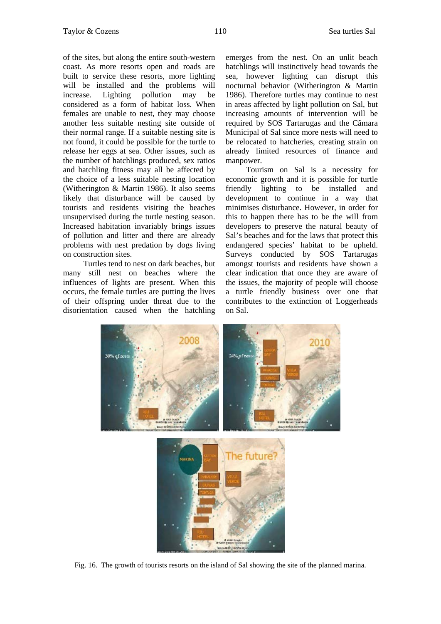of the sites, but along the entire south-western coast. As more resorts open and roads are built to service these resorts, more lighting will be installed and the problems will increase. Lighting pollution may be considered as a form of habitat loss. When females are unable to nest, they may choose another less suitable nesting site outside of their normal range. If a suitable nesting site is not found, it could be possible for the turtle to release her eggs at sea. Other issues, such as the number of hatchlings produced, sex ratios and hatchling fitness may all be affected by the choice of a less suitable nesting location (Witherington & Martin 1986). It also seems likely that disturbance will be caused by tourists and residents visiting the beaches unsupervised during the turtle nesting season. Increased habitation invariably brings issues of pollution and litter and there are already problems with nest predation by dogs living on construction sites.

Turtles tend to nest on dark beaches, but many still nest on beaches where the influences of lights are present. When this occurs, the female turtles are putting the lives of their offspring under threat due to the disorientation caused when the hatchling emerges from the nest. On an unlit beach hatchlings will instinctively head towards the sea, however lighting can disrupt this nocturnal behavior (Witherington & Martin 1986). Therefore turtles may continue to nest in areas affected by light pollution on Sal, but increasing amounts of intervention will be required by SOS Tartarugas and the Câmara Municipal of Sal since more nests will need to be relocated to hatcheries, creating strain on already limited resources of finance and manpower.

Tourism on Sal is a necessity for economic growth and it is possible for turtle friendly lighting to be installed and development to continue in a way that minimises disturbance. However, in order for this to happen there has to be the will from developers to preserve the natural beauty of Sal's beaches and for the laws that protect this endangered species' habitat to be upheld. Surveys conducted by SOS Tartarugas amongst tourists and residents have shown a clear indication that once they are aware of the issues, the majority of people will choose a turtle friendly business over one that contributes to the extinction of Loggerheads on Sal.



Fig. 16. The growth of tourists resorts on the island of Sal showing the site of the planned marina.